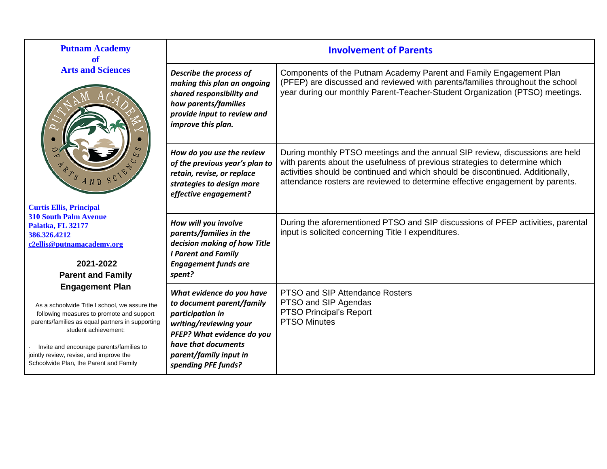| <b>Putnam Academy</b><br>of                                                                                                                                                                                                                                                                                                       | <b>Involvement of Parents</b>                                                                                                                                                                              |                                                                                                                                                                                                                                                                                                                                |  |  |
|-----------------------------------------------------------------------------------------------------------------------------------------------------------------------------------------------------------------------------------------------------------------------------------------------------------------------------------|------------------------------------------------------------------------------------------------------------------------------------------------------------------------------------------------------------|--------------------------------------------------------------------------------------------------------------------------------------------------------------------------------------------------------------------------------------------------------------------------------------------------------------------------------|--|--|
| <b>Arts and Sciences</b>                                                                                                                                                                                                                                                                                                          | Describe the process of<br>making this plan an ongoing<br>shared responsibility and<br>how parents/families<br>provide input to review and<br>improve this plan.                                           | Components of the Putnam Academy Parent and Family Engagement Plan<br>(PFEP) are discussed and reviewed with parents/families throughout the school<br>year during our monthly Parent-Teacher-Student Organization (PTSO) meetings.                                                                                            |  |  |
| AND<br><b>Curtis Ellis, Principal</b>                                                                                                                                                                                                                                                                                             | How do you use the review<br>of the previous year's plan to<br>retain, revise, or replace<br>strategies to design more<br>effective engagement?                                                            | During monthly PTSO meetings and the annual SIP review, discussions are held<br>with parents about the usefulness of previous strategies to determine which<br>activities should be continued and which should be discontinued. Additionally,<br>attendance rosters are reviewed to determine effective engagement by parents. |  |  |
| <b>310 South Palm Avenue</b><br>Palatka, FL 32177<br>386.326.4212<br>c2ellis@putnamacademy.org<br>2021-2022<br><b>Parent and Family</b>                                                                                                                                                                                           | How will you involve<br>parents/families in the<br>decision making of how Title<br><b>I Parent and Family</b><br><b>Engagement funds are</b><br>spent?                                                     | During the aforementioned PTSO and SIP discussions of PFEP activities, parental<br>input is solicited concerning Title I expenditures.                                                                                                                                                                                         |  |  |
| <b>Engagement Plan</b><br>As a schoolwide Title I school, we assure the<br>following measures to promote and support<br>parents/families as equal partners in supporting<br>student achievement:<br>Invite and encourage parents/families to<br>jointly review, revise, and improve the<br>Schoolwide Plan, the Parent and Family | What evidence do you have<br>to document parent/family<br>participation in<br>writing/reviewing your<br>PFEP? What evidence do you<br>have that documents<br>parent/family input in<br>spending PFE funds? | PTSO and SIP Attendance Rosters<br>PTSO and SIP Agendas<br>PTSO Principal's Report<br><b>PTSO Minutes</b>                                                                                                                                                                                                                      |  |  |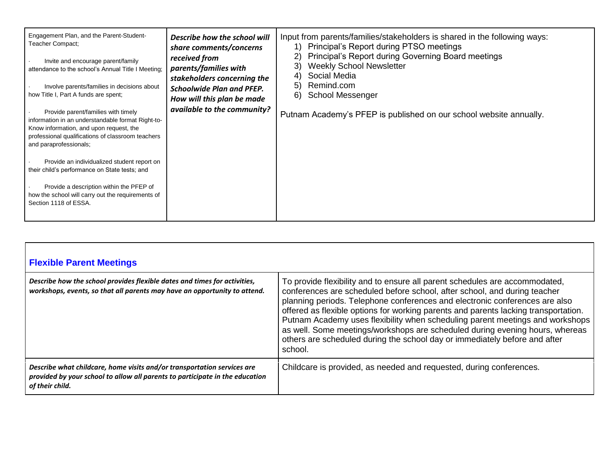| Engagement Plan, and the Parent-Student-<br>Teacher Compact;<br>Invite and encourage parent/family<br>attendance to the school's Annual Title I Meeting;<br>Involve parents/families in decisions about<br>how Title I, Part A funds are spent;<br>Provide parent/families with timely<br>information in an understandable format Right-to-<br>Know information, and upon request, the<br>professional qualifications of classroom teachers<br>and paraprofessionals;<br>Provide an individualized student report on<br>their child's performance on State tests; and<br>Provide a description within the PFEP of<br>how the school will carry out the requirements of | Describe how the school will<br>share comments/concerns<br>received from<br>parents/families with<br>stakeholders concerning the<br><b>Schoolwide Plan and PFEP.</b><br>How will this plan be made<br>available to the community? | Input from parents/families/stakeholders is shared in the following ways:<br>1) Principal's Report during PTSO meetings<br>Principal's Report during Governing Board meetings<br>2)<br><b>Weekly School Newsletter</b><br>3)<br>Social Media<br>Remind.com<br>5)<br><b>School Messenger</b><br>6)<br>Putnam Academy's PFEP is published on our school website annually. |
|------------------------------------------------------------------------------------------------------------------------------------------------------------------------------------------------------------------------------------------------------------------------------------------------------------------------------------------------------------------------------------------------------------------------------------------------------------------------------------------------------------------------------------------------------------------------------------------------------------------------------------------------------------------------|-----------------------------------------------------------------------------------------------------------------------------------------------------------------------------------------------------------------------------------|-------------------------------------------------------------------------------------------------------------------------------------------------------------------------------------------------------------------------------------------------------------------------------------------------------------------------------------------------------------------------|
| Section 1118 of ESSA.                                                                                                                                                                                                                                                                                                                                                                                                                                                                                                                                                                                                                                                  |                                                                                                                                                                                                                                   |                                                                                                                                                                                                                                                                                                                                                                         |

| <b>Flexible Parent Meetings</b>                                                                                                                                            |                                                                                                                                                                                                                                                                                                                                                                                                                                                                                                                                                                                          |
|----------------------------------------------------------------------------------------------------------------------------------------------------------------------------|------------------------------------------------------------------------------------------------------------------------------------------------------------------------------------------------------------------------------------------------------------------------------------------------------------------------------------------------------------------------------------------------------------------------------------------------------------------------------------------------------------------------------------------------------------------------------------------|
| Describe how the school provides flexible dates and times for activities,<br>workshops, events, so that all parents may have an opportunity to attend.                     | To provide flexibility and to ensure all parent schedules are accommodated,<br>conferences are scheduled before school, after school, and during teacher<br>planning periods. Telephone conferences and electronic conferences are also<br>offered as flexible options for working parents and parents lacking transportation.<br>Putnam Academy uses flexibility when scheduling parent meetings and workshops<br>as well. Some meetings/workshops are scheduled during evening hours, whereas<br>others are scheduled during the school day or immediately before and after<br>school. |
| Describe what childcare, home visits and/or transportation services are<br>provided by your school to allow all parents to participate in the education<br>of their child. | Childcare is provided, as needed and requested, during conferences.                                                                                                                                                                                                                                                                                                                                                                                                                                                                                                                      |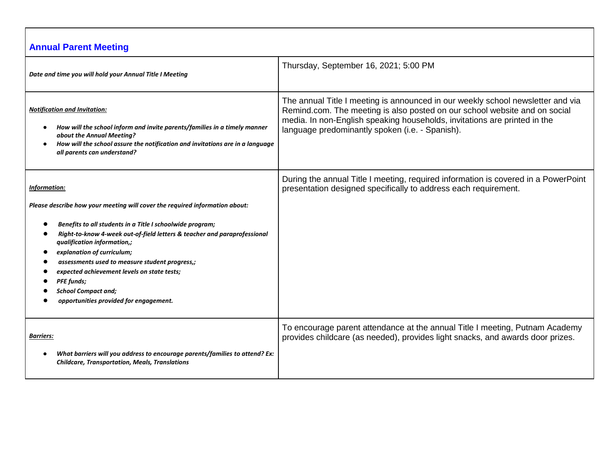# **Annual Parent Meeting**

| Date and time you will hold your Annual Title I Meeting                                                                                                                                                                                                                                                                                                                                          | Thursday, September 16, 2021; 5:00 PM                                                                                                                                                                                                                                                         |
|--------------------------------------------------------------------------------------------------------------------------------------------------------------------------------------------------------------------------------------------------------------------------------------------------------------------------------------------------------------------------------------------------|-----------------------------------------------------------------------------------------------------------------------------------------------------------------------------------------------------------------------------------------------------------------------------------------------|
| <b>Notification and Invitation:</b><br>How will the school inform and invite parents/families in a timely manner<br>about the Annual Meeting?<br>How will the school assure the notification and invitations are in a language<br>all parents can understand?                                                                                                                                    | The annual Title I meeting is announced in our weekly school newsletter and via<br>Remind.com. The meeting is also posted on our school website and on social<br>media. In non-English speaking households, invitations are printed in the<br>language predominantly spoken (i.e. - Spanish). |
| <b>Information:</b>                                                                                                                                                                                                                                                                                                                                                                              | During the annual Title I meeting, required information is covered in a PowerPoint<br>presentation designed specifically to address each requirement.                                                                                                                                         |
| Please describe how your meeting will cover the required information about:                                                                                                                                                                                                                                                                                                                      |                                                                                                                                                                                                                                                                                               |
| Benefits to all students in a Title I schoolwide program;<br>Right-to-know 4-week out-of-field letters & teacher and paraprofessional<br>qualification information,;<br>explanation of curriculum;<br>assessments used to measure student progress,;<br>expected achievement levels on state tests;<br><b>PFE</b> funds;<br><b>School Compact and;</b><br>opportunities provided for engagement. |                                                                                                                                                                                                                                                                                               |
| <b>Barriers:</b><br>What barriers will you address to encourage parents/families to attend? Ex:<br><b>Childcare, Transportation, Meals, Translations</b>                                                                                                                                                                                                                                         | To encourage parent attendance at the annual Title I meeting, Putnam Academy<br>provides childcare (as needed), provides light snacks, and awards door prizes.                                                                                                                                |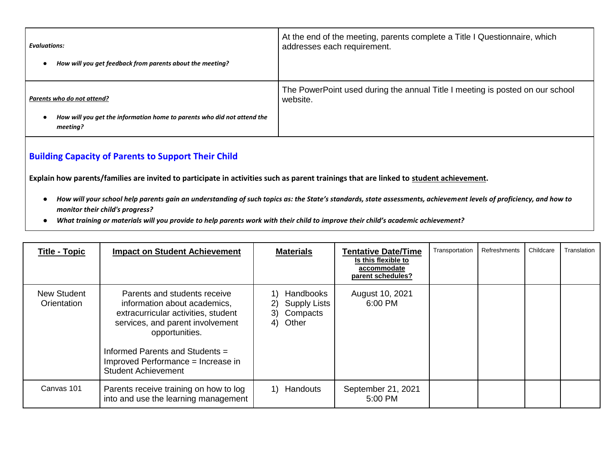| <b>Evaluations:</b>                                                                                               | At the end of the meeting, parents complete a Title I Questionnaire, which                |
|-------------------------------------------------------------------------------------------------------------------|-------------------------------------------------------------------------------------------|
| How will you get feedback from parents about the meeting?                                                         | addresses each requirement.                                                               |
| Parents who do not attend?<br>How will you get the information home to parents who did not attend the<br>meeting? | The PowerPoint used during the annual Title I meeting is posted on our school<br>website. |

### **Building Capacity of Parents to Support Their Child**

**Explain how parents/families are invited to participate in activities such as parent trainings that are linked to student achievement.**

- *How will your school help parents gain an understanding of such topics as: the State's standards, state assessments, achievement levels of proficiency, and how to monitor their child's progress?*
- *What training or materials will you provide to help parents work with their child to improve their child's academic achievement?*

| <b>Title - Topic</b>       | <b>Impact on Student Achievement</b>                                                                                                                                                                                                                             | <b>Materials</b>                                                        | <b>Tentative Date/Time</b><br>Is this flexible to<br>accommodate<br>parent schedules? | Transportation | Refreshments | Childcare | Translation |
|----------------------------|------------------------------------------------------------------------------------------------------------------------------------------------------------------------------------------------------------------------------------------------------------------|-------------------------------------------------------------------------|---------------------------------------------------------------------------------------|----------------|--------------|-----------|-------------|
| New Student<br>Orientation | Parents and students receive<br>information about academics,<br>extracurricular activities, student<br>services, and parent involvement<br>opportunities.<br>Informed Parents and Students =<br>Improved Performance = Increase in<br><b>Student Achievement</b> | Handbooks<br><b>Supply Lists</b><br>2)<br>Compacts<br>3)<br>Other<br>4) | August 10, 2021<br>6:00 PM                                                            |                |              |           |             |
| Canvas 101                 | Parents receive training on how to log<br>into and use the learning management                                                                                                                                                                                   | Handouts<br>1)                                                          | September 21, 2021<br>5:00 PM                                                         |                |              |           |             |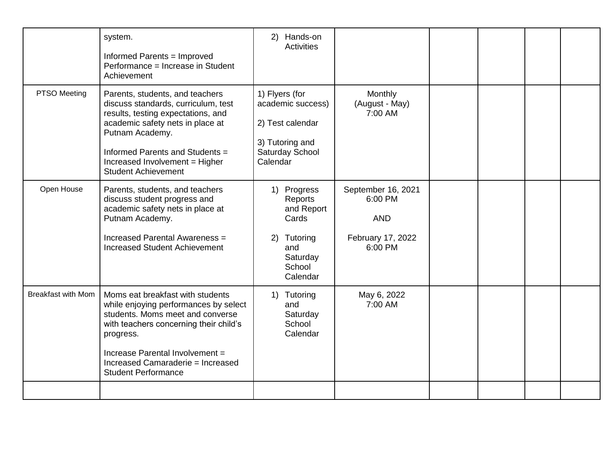|                           | system.<br>Informed Parents = Improved<br>Performance = Increase in Student<br>Achievement                                                                                                                                                                                 | 2) Hands-on<br><b>Activities</b>                                                                          |                                                                             |  |  |
|---------------------------|----------------------------------------------------------------------------------------------------------------------------------------------------------------------------------------------------------------------------------------------------------------------------|-----------------------------------------------------------------------------------------------------------|-----------------------------------------------------------------------------|--|--|
| PTSO Meeting              | Parents, students, and teachers<br>discuss standards, curriculum, test<br>results, testing expectations, and<br>academic safety nets in place at<br>Putnam Academy.<br>Informed Parents and Students =<br>Increased Involvement = Higher<br><b>Student Achievement</b>     | 1) Flyers (for<br>academic success)<br>2) Test calendar<br>3) Tutoring and<br>Saturday School<br>Calendar | Monthly<br>(August - May)<br>7:00 AM                                        |  |  |
| Open House                | Parents, students, and teachers<br>discuss student progress and<br>academic safety nets in place at<br>Putnam Academy.<br>Increased Parental Awareness =<br><b>Increased Student Achievement</b>                                                                           | 1) Progress<br>Reports<br>and Report<br>Cards<br>Tutoring<br>2)<br>and<br>Saturday<br>School<br>Calendar  | September 16, 2021<br>6:00 PM<br><b>AND</b><br>February 17, 2022<br>6:00 PM |  |  |
| <b>Breakfast with Mom</b> | Moms eat breakfast with students<br>while enjoying performances by select<br>students. Moms meet and converse<br>with teachers concerning their child's<br>progress.<br>Increase Parental Involvement =<br>Increased Camaraderie = Increased<br><b>Student Performance</b> | 1) Tutoring<br>and<br>Saturday<br>School<br>Calendar                                                      | May 6, 2022<br>7:00 AM                                                      |  |  |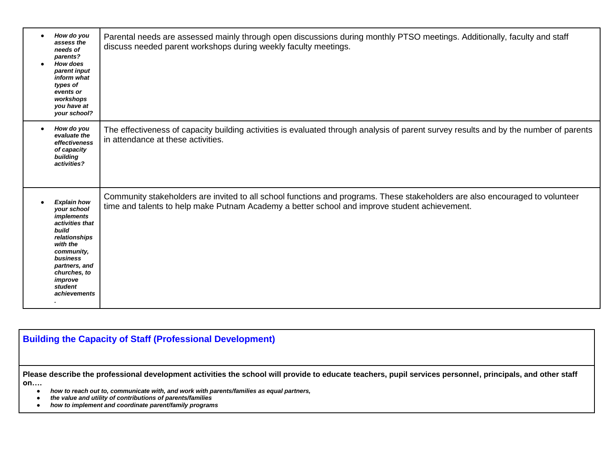| $\bullet$ | How do you<br>assess the<br>needs of<br>parents?<br><b>How does</b><br>parent input<br>inform what<br>types of<br>events or<br>workshops<br>you have at<br>your school?                                          | Parental needs are assessed mainly through open discussions during monthly PTSO meetings. Additionally, faculty and staff<br>discuss needed parent workshops during weekly faculty meetings.                                  |
|-----------|------------------------------------------------------------------------------------------------------------------------------------------------------------------------------------------------------------------|-------------------------------------------------------------------------------------------------------------------------------------------------------------------------------------------------------------------------------|
| $\bullet$ | How do you<br>evaluate the<br>effectiveness<br>of capacity<br>building<br>activities?                                                                                                                            | The effectiveness of capacity building activities is evaluated through analysis of parent survey results and by the number of parents<br>in attendance at these activities.                                                   |
|           | <b>Explain how</b><br>your school<br><i>implements</i><br>activities that<br>build<br>relationships<br>with the<br>community,<br>business<br>partners, and<br>churches, to<br>improve<br>student<br>achievements | Community stakeholders are invited to all school functions and programs. These stakeholders are also encouraged to volunteer<br>time and talents to help make Putnam Academy a better school and improve student achievement. |

## **Building the Capacity of Staff (Professional Development)**

**Please describe the professional development activities the school will provide to educate teachers, pupil services personnel, principals, and other staff on….**

- *how to reach out to, communicate with, and work with parents/families as equal partners,*
- *the value and utility of contributions of parents/families*
- *how to implement and coordinate parent/family programs*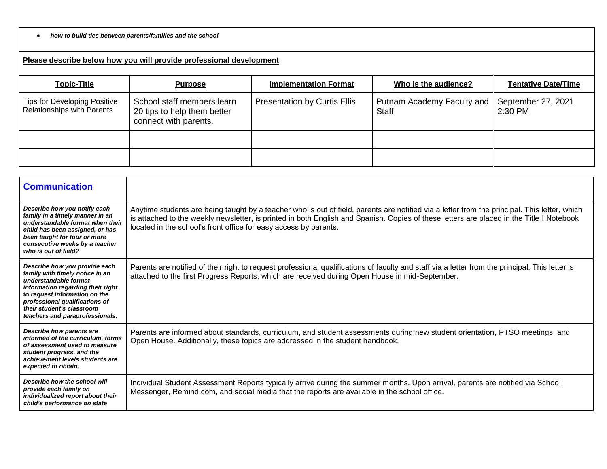#### ● *how to build ties between parents/families and the school*

#### **Please describe below how you will provide professional development**

| <b>Topic-Title</b>                                         | <b>Purpose</b>                                                                     | <b>Implementation Format</b>        | Who is the audience?                       | <b>Tentative Date/Time</b>    |
|------------------------------------------------------------|------------------------------------------------------------------------------------|-------------------------------------|--------------------------------------------|-------------------------------|
| Tips for Developing Positive<br>Relationships with Parents | School staff members learn<br>20 tips to help them better<br>connect with parents. | <b>Presentation by Curtis Ellis</b> | Putnam Academy Faculty and<br><b>Staff</b> | September 27, 2021<br>2:30 PM |
|                                                            |                                                                                    |                                     |                                            |                               |
|                                                            |                                                                                    |                                     |                                            |                               |

| <b>Communication</b>                                                                                                                                                                                                                                              |                                                                                                                                                                                                                                                                                                                                                              |
|-------------------------------------------------------------------------------------------------------------------------------------------------------------------------------------------------------------------------------------------------------------------|--------------------------------------------------------------------------------------------------------------------------------------------------------------------------------------------------------------------------------------------------------------------------------------------------------------------------------------------------------------|
| Describe how you notify each<br>family in a timely manner in an<br>understandable format when their<br>child has been assigned, or has<br>been taught for four or more<br>consecutive weeks by a teacher<br>who is out of field?                                  | Anytime students are being taught by a teacher who is out of field, parents are notified via a letter from the principal. This letter, which<br>is attached to the weekly newsletter, is printed in both English and Spanish. Copies of these letters are placed in the Title I Notebook<br>located in the school's front office for easy access by parents. |
| Describe how you provide each<br>family with timely notice in an<br>understandable format<br>information regarding their right<br>to request information on the<br>professional qualifications of<br>their student's classroom<br>teachers and paraprofessionals. | Parents are notified of their right to request professional qualifications of faculty and staff via a letter from the principal. This letter is<br>attached to the first Progress Reports, which are received during Open House in mid-September.                                                                                                            |
| Describe how parents are<br>informed of the curriculum, forms<br>of assessment used to measure<br>student progress, and the<br>achievement levels students are<br>expected to obtain.                                                                             | Parents are informed about standards, curriculum, and student assessments during new student orientation, PTSO meetings, and<br>Open House. Additionally, these topics are addressed in the student handbook.                                                                                                                                                |
| Describe how the school will<br>provide each family on<br>individualized report about their<br>child's performance on state                                                                                                                                       | Individual Student Assessment Reports typically arrive during the summer months. Upon arrival, parents are notified via School<br>Messenger, Remind.com, and social media that the reports are available in the school office.                                                                                                                               |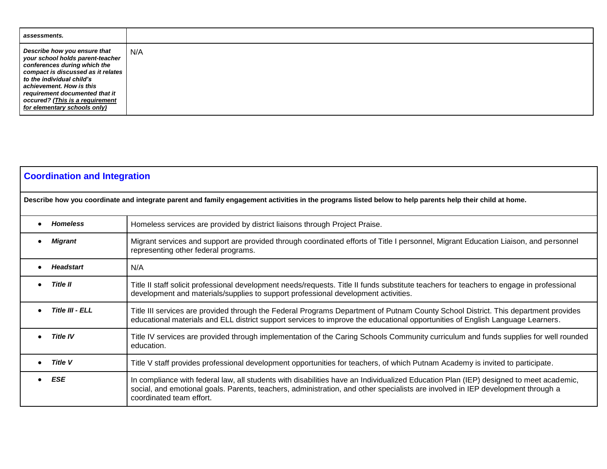| assessments.                                                                                                                                                                                                                                                                                         |     |
|------------------------------------------------------------------------------------------------------------------------------------------------------------------------------------------------------------------------------------------------------------------------------------------------------|-----|
| Describe how you ensure that<br>your school holds parent-teacher<br>conferences during which the<br>compact is discussed as it relates<br>to the individual child's<br>achievement. How is this<br>requirement documented that it<br>occured? (This is a requirement<br>for elementary schools only) | N/A |

| <b>Coordination and Integration</b> |                                                                                                                                                                                                                                                                                                      |  |  |
|-------------------------------------|------------------------------------------------------------------------------------------------------------------------------------------------------------------------------------------------------------------------------------------------------------------------------------------------------|--|--|
|                                     | Describe how you coordinate and integrate parent and family engagement activities in the programs listed below to help parents help their child at home.                                                                                                                                             |  |  |
| <b>Homeless</b>                     | Homeless services are provided by district liaisons through Project Praise.                                                                                                                                                                                                                          |  |  |
| <b>Migrant</b>                      | Migrant services and support are provided through coordinated efforts of Title I personnel, Migrant Education Liaison, and personnel<br>representing other federal programs.                                                                                                                         |  |  |
| <b>Headstart</b>                    | N/A                                                                                                                                                                                                                                                                                                  |  |  |
| <b>Title II</b>                     | Title II staff solicit professional development needs/requests. Title II funds substitute teachers for teachers to engage in professional<br>development and materials/supplies to support professional development activities.                                                                      |  |  |
| Title III - ELL                     | Title III services are provided through the Federal Programs Department of Putnam County School District. This department provides<br>educational materials and ELL district support services to improve the educational opportunities of English Language Learners.                                 |  |  |
| <b>Title IV</b>                     | Title IV services are provided through implementation of the Caring Schools Community curriculum and funds supplies for well rounded<br>education.                                                                                                                                                   |  |  |
| Title V                             | Title V staff provides professional development opportunities for teachers, of which Putnam Academy is invited to participate.                                                                                                                                                                       |  |  |
| <b>ESE</b>                          | In compliance with federal law, all students with disabilities have an Individualized Education Plan (IEP) designed to meet academic,<br>social, and emotional goals. Parents, teachers, administration, and other specialists are involved in IEP development through a<br>coordinated team effort. |  |  |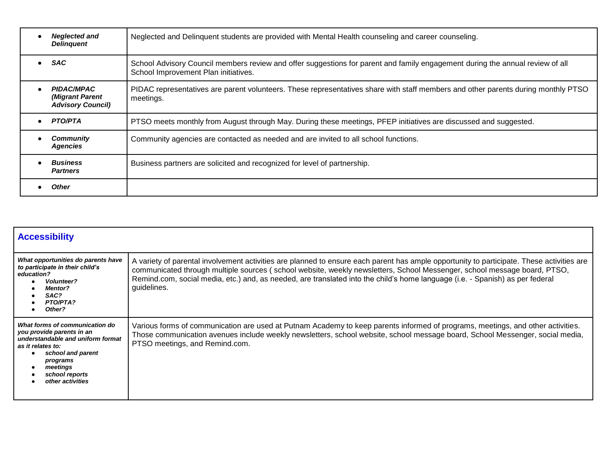| <b>Neglected and</b><br><b>Delinquent</b>                        | Neglected and Delinquent students are provided with Mental Health counseling and career counseling.                                                                   |
|------------------------------------------------------------------|-----------------------------------------------------------------------------------------------------------------------------------------------------------------------|
| <b>SAC</b>                                                       | School Advisory Council members review and offer suggestions for parent and family engagement during the annual review of all<br>School Improvement Plan initiatives. |
| <b>PIDAC/MPAC</b><br>(Migrant Parent<br><b>Advisory Council)</b> | PIDAC representatives are parent volunteers. These representatives share with staff members and other parents during monthly PTSO<br>meetings.                        |
| <b>PTO/PTA</b>                                                   | PTSO meets monthly from August through May. During these meetings, PFEP initiatives are discussed and suggested.                                                      |
| <b>Community</b><br><b>Agencies</b>                              | Community agencies are contacted as needed and are invited to all school functions.                                                                                   |
| <b>Business</b><br><b>Partners</b>                               | Business partners are solicited and recognized for level of partnership.                                                                                              |
| <b>Other</b>                                                     |                                                                                                                                                                       |

| <b>Accessibility</b>                                                                                                                                                                                     |                                                                                                                                                                                                                                                                                                                                                                                                                       |  |  |
|----------------------------------------------------------------------------------------------------------------------------------------------------------------------------------------------------------|-----------------------------------------------------------------------------------------------------------------------------------------------------------------------------------------------------------------------------------------------------------------------------------------------------------------------------------------------------------------------------------------------------------------------|--|--|
| What opportunities do parents have<br>to participate in their child's<br>education?<br><b>Volunteer?</b><br><b>Mentor?</b><br>SAC?<br><b>PTO/PTA?</b><br>Other?                                          | A variety of parental involvement activities are planned to ensure each parent has ample opportunity to participate. These activities are<br>communicated through multiple sources (school website, weekly newsletters, School Messenger, school message board, PTSO,<br>Remind.com, social media, etc.) and, as needed, are translated into the child's home language (i.e. - Spanish) as per federal<br>guidelines. |  |  |
| What forms of communication do<br>you provide parents in an<br>understandable and uniform format<br>as it relates to:<br>school and parent<br>programs<br>meetings<br>school reports<br>other activities | Various forms of communication are used at Putnam Academy to keep parents informed of programs, meetings, and other activities.<br>Those communication avenues include weekly newsletters, school website, school message board, School Messenger, social media,<br>PTSO meetings, and Remind.com.                                                                                                                    |  |  |